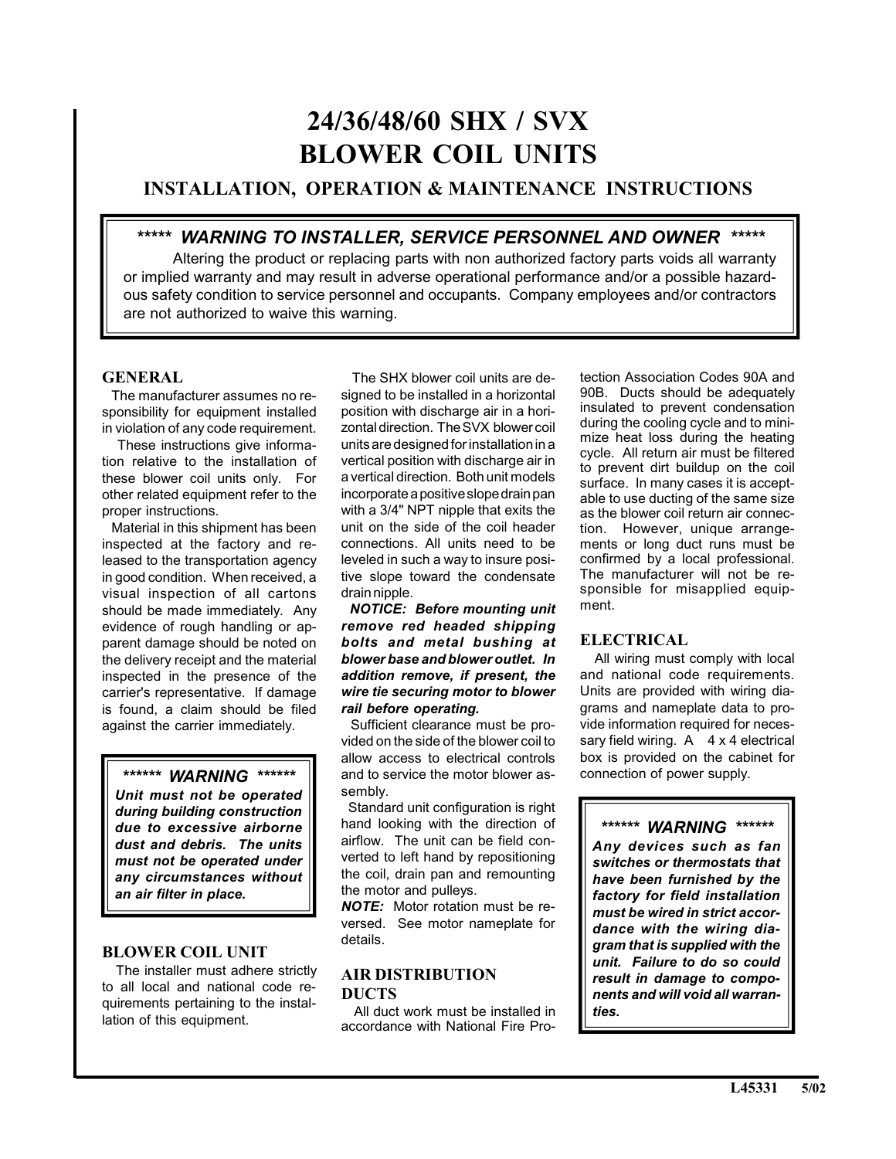# **24/36/48/60 SHX / SVX BLOWER COIL UNITS**

# **INSTALLATION, OPERATION & MAINTENANCE INSTRUCTIONS**

# *\*\*\*\*\* WARNING TO INSTALLER, SERVICE PERSONNEL AND OWNER \*\*\*\*\**

Altering the product or replacing parts with non authorized factory parts voids all warranty or implied warranty and may result in adverse operational performance and/or a possible hazardous safety condition to service personnel and occupants. Company employees and/or contractors are not authorized to waive this warning.

## **GENERAL**

 The manufacturer assumes no responsibility for equipment installed in violation of any code requirement.

 These instructions give information relative to the installation of these blower coil units only. For other related equipment refer to the proper instructions.

 Material in this shipment has been inspected at the factory and released to the transportation agency in good condition. When received, a visual inspection of all cartons should be made immediately. Any evidence of rough handling or apparent damage should be noted on the delivery receipt and the material inspected in the presence of the carrier's representative. If damage is found, a claim should be filed against the carrier immediately.

# *\*\*\*\*\*\* WARNING \*\*\*\*\*\**

*Unit must not be operated during building construction due to excessive airborne dust and debris. The units must not be operated under any circumstances without an air filter in place.*

## **BLOWER COIL UNIT**

 The installer must adhere strictly to all local and national code requirements pertaining to the installation of this equipment.

 The SHX blower coil units are designed to be installed in a horizontal position with discharge air in a horizontal direction. The SVX blower coil units are designed for installation in a vertical position with discharge air in a vertical direction. Both unit models incorporate a positive slope drain pan with a 3/4" NPT nipple that exits the unit on the side of the coil header connections. All units need to be leveled in such a way to insure positive slope toward the condensate drain nipple.

 *NOTICE: Before mounting unit remove red headed shipping bolts and metal bushing at blower base and blower outlet. In addition remove, if present, the wire tie securing motor to blower rail before operating.*

 Sufficient clearance must be provided on the side of the blower coil to allow access to electrical controls and to service the motor blower assembly.

Standard unit configuration is right hand looking with the direction of airflow. The unit can be field converted to left hand by repositioning the coil, drain pan and remounting the motor and pulleys.

*NOTE:* Motor rotation must be reversed. See motor nameplate for details.

## **AIR DISTRIBUTION DUCTS**

 All duct work must be installed in accordance with National Fire Protection Association Codes 90A and 90B. Ducts should be adequately insulated to prevent condensation during the cooling cycle and to minimize heat loss during the heating cycle. All return air must be filtered to prevent dirt buildup on the coil surface. In many cases it is acceptable to use ducting of the same size as the blower coil return air connection. However, unique arrangements or long duct runs must be confirmed by a local professional. The manufacturer will not be responsible for misapplied equipment.

# **ELECTRICAL**

 All wiring must comply with local and national code requirements. Units are provided with wiring diagrams and nameplate data to provide information required for necessary field wiring.  $A \times 4$  electrical box is provided on the cabinet for connection of power supply.

*\*\*\*\*\*\* WARNING \*\*\*\*\*\* Any devices such as fan switches or thermostats that have been furnished by the factory for field installation must be wired in strict accordance with the wiring diagram that is supplied with the unit. Failure to do so could result in damage to components and will void all warranties.*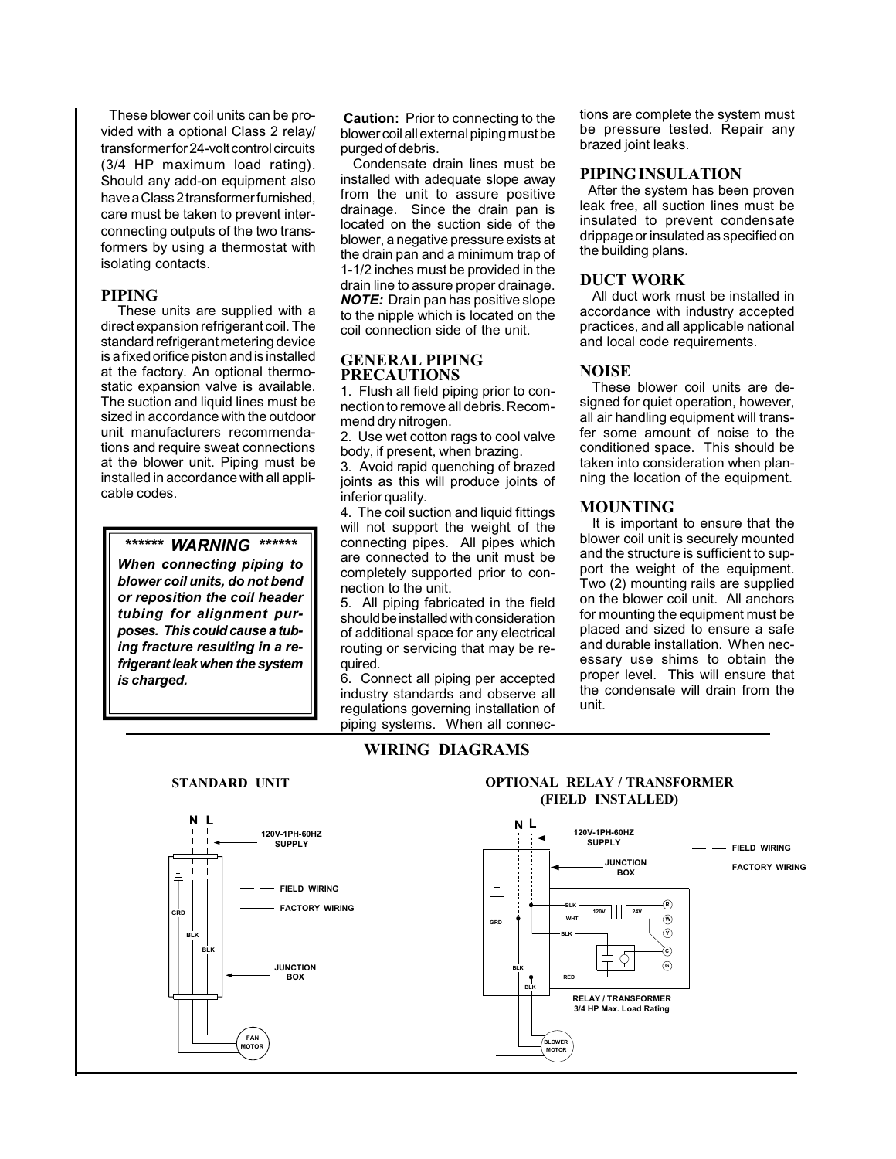These blower coil units can be provided with a optional Class 2 relay/ transformer for 24-volt control circuits (3/4 HP maximum load rating). Should any add-on equipment also have a Class 2 transformer furnished, care must be taken to prevent interconnecting outputs of the two transformers by using a thermostat with isolating contacts.

#### **PIPING**

 These units are supplied with a direct expansion refrigerant coil. The standard refrigerant metering device is a fixed orifice piston and is installed at the factory. An optional thermostatic expansion valve is available. The suction and liquid lines must be sized in accordance with the outdoor unit manufacturers recommendations and require sweat connections at the blower unit. Piping must be installed in accordance with all applicable codes.

#### *\*\*\*\*\*\* WARNING \*\*\*\*\*\**

*When connecting piping to blower coil units, do not bend or reposition the coil header tubing for alignment purposes. This could cause a tubing fracture resulting in a refrigerant leak when the system is charged.*

**Caution:** Prior to connecting to the blower coil all external piping must be purged of debris.

 Condensate drain lines must be installed with adequate slope away from the unit to assure positive drainage. Since the drain pan is located on the suction side of the blower, a negative pressure exists at the drain pan and a minimum trap of 1-1/2 inches must be provided in the drain line to assure proper drainage. *NOTE:* Drain pan has positive slope to the nipple which is located on the coil connection side of the unit.

## **GENERAL PIPING PRECAUTIONS**

1. Flush all field piping prior to connection to remove all debris. Recommend dry nitrogen.

2. Use wet cotton rags to cool valve body, if present, when brazing.

3. Avoid rapid quenching of brazed joints as this will produce joints of inferior quality.

4. The coil suction and liquid fittings will not support the weight of the connecting pipes. All pipes which are connected to the unit must be completely supported prior to connection to the unit.

5. All piping fabricated in the field should be installed with consideration of additional space for any electrical routing or servicing that may be required.

6. Connect all piping per accepted industry standards and observe all regulations governing installation of piping systems. When all connec-

**WIRING DIAGRAMS**

tions are complete the system must be pressure tested. Repair any brazed joint leaks.

#### **PIPING INSULATION**

 After the system has been proven leak free, all suction lines must be insulated to prevent condensate drippage or insulated as specified on the building plans.

## **DUCT WORK**

All duct work must be installed in accordance with industry accepted practices, and all applicable national and local code requirements.

## **NOISE**

These blower coil units are designed for quiet operation, however, all air handling equipment will transfer some amount of noise to the conditioned space. This should be taken into consideration when planning the location of the equipment.

## **MOUNTING**

It is important to ensure that the blower coil unit is securely mounted and the structure is sufficient to support the weight of the equipment. Two (2) mounting rails are supplied on the blower coil unit. All anchors for mounting the equipment must be placed and sized to ensure a safe and durable installation. When necessary use shims to obtain the proper level. This will ensure that the condensate will drain from the unit.



## **STANDARD UNIT OPTIONAL RELAY / TRANSFORMER (FIELD INSTALLED)**

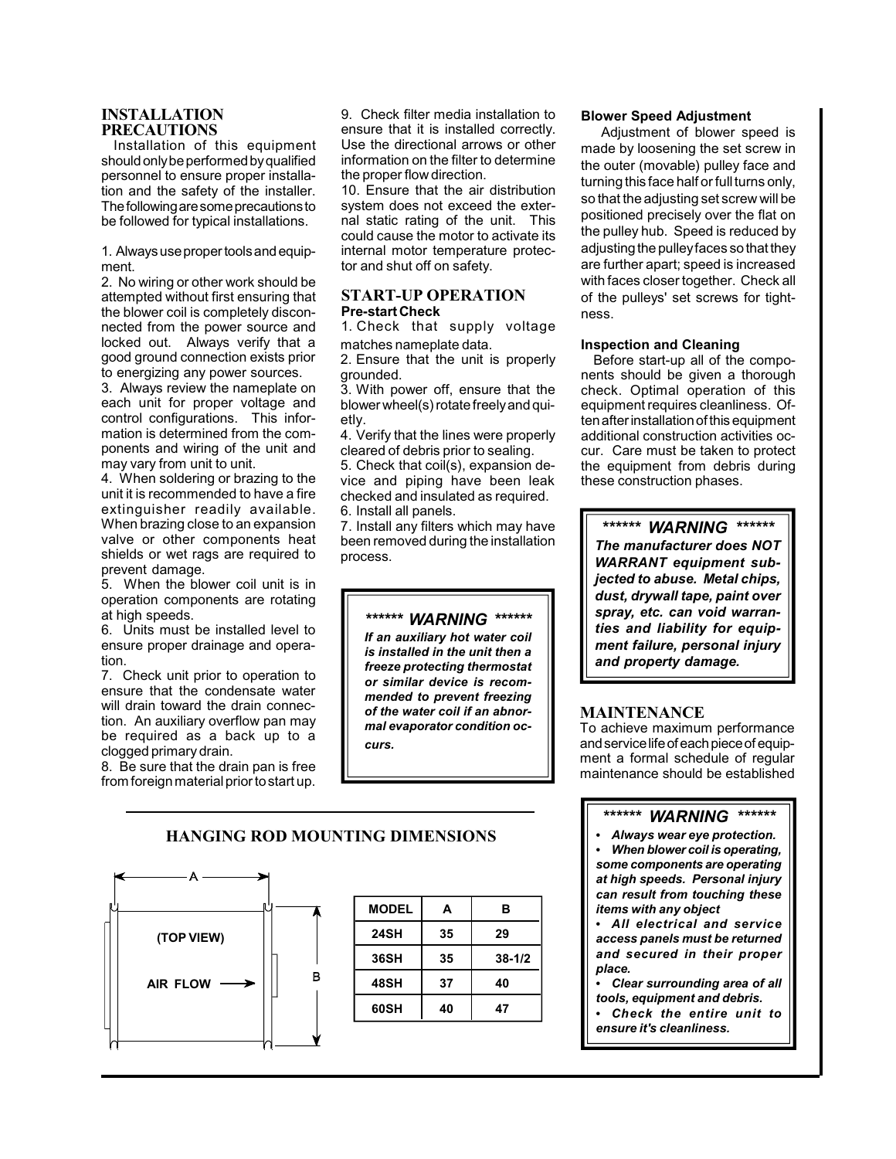## **INSTALLATION PRECAUTIONS**

Installation of this equipment should only be performed by qualified personnel to ensure proper installation and the safety of the installer. The following are some precautions to be followed for typical installations.

1. Always use proper tools and equipment.

2. No wiring or other work should be attempted without first ensuring that the blower coil is completely disconnected from the power source and locked out. Always verify that a good ground connection exists prior to energizing any power sources.

3. Always review the nameplate on each unit for proper voltage and control configurations. This information is determined from the components and wiring of the unit and may vary from unit to unit.

4. When soldering or brazing to the unit it is recommended to have a fire extinguisher readily available. When brazing close to an expansion valve or other components heat shields or wet rags are required to prevent damage.

5. When the blower coil unit is in operation components are rotating at high speeds.

6. Units must be installed level to ensure proper drainage and operation.

7. Check unit prior to operation to ensure that the condensate water will drain toward the drain connection. An auxiliary overflow pan may be required as a back up to a clogged primary drain.

8. Be sure that the drain pan is free from foreign material prior to start up.

9. Check filter media installation to ensure that it is installed correctly. Use the directional arrows or other information on the filter to determine the proper flow direction.

10. Ensure that the air distribution system does not exceed the external static rating of the unit. This could cause the motor to activate its internal motor temperature protector and shut off on safety.

## **START-UP OPERATION Pre-start Check**

1. Check that supply voltage matches nameplate data.

2. Ensure that the unit is properly grounded.

3. With power off, ensure that the blower wheel(s) rotate freely and quietly.

4. Verify that the lines were properly cleared of debris prior to sealing.

5. Check that coil(s), expansion device and piping have been leak checked and insulated as required. 6. Install all panels.

7. Install any filters which may have been removed during the installation process.



*is installed in the unit then a freeze protecting thermostat or similar device is recommended to prevent freezing of the water coil if an abnormal evaporator condition occurs.*

## **Blower Speed Adjustment**

 Adjustment of blower speed is made by loosening the set screw in the outer (movable) pulley face and turning this face half or full turns only, so that the adjusting set screw will be positioned precisely over the flat on the pulley hub. Speed is reduced by adjusting the pulley faces so that they are further apart; speed is increased with faces closer together. Check all of the pulleys' set screws for tightness.

## **Inspection and Cleaning**

Before start-up all of the components should be given a thorough check. Optimal operation of this equipment requires cleanliness. Often after installation of this equipment additional construction activities occur. Care must be taken to protect the equipment from debris during these construction phases.

## *\*\*\*\*\*\* WARNING \*\*\*\*\*\**

*The manufacturer does NOT WARRANT equipment subjected to abuse. Metal chips, dust, drywall tape, paint over spray, etc. can void warranties and liability for equipment failure, personal injury and property damage.*

## **MAINTENANCE**

To achieve maximum performance and service life of each piece of equipment a formal schedule of regular maintenance should be established

## *\*\*\*\*\*\* WARNING \*\*\*\*\*\**

 *Always wear eye protection. When blower coil is operating, some components are operating at high speeds. Personal injury can result from touching these items with any object*

 *All electrical and service access panels must be returned and secured in their proper place.*

 *Clear surrounding area of all tools, equipment and debris. Check the entire unit to ensure it's cleanliness.*

## **HANGING ROD MOUNTING DIMENSIONS**



| 35 | 29         |
|----|------------|
| 35 | $38 - 1/2$ |
| 37 | 40         |
| 40 | 47         |
|    |            |